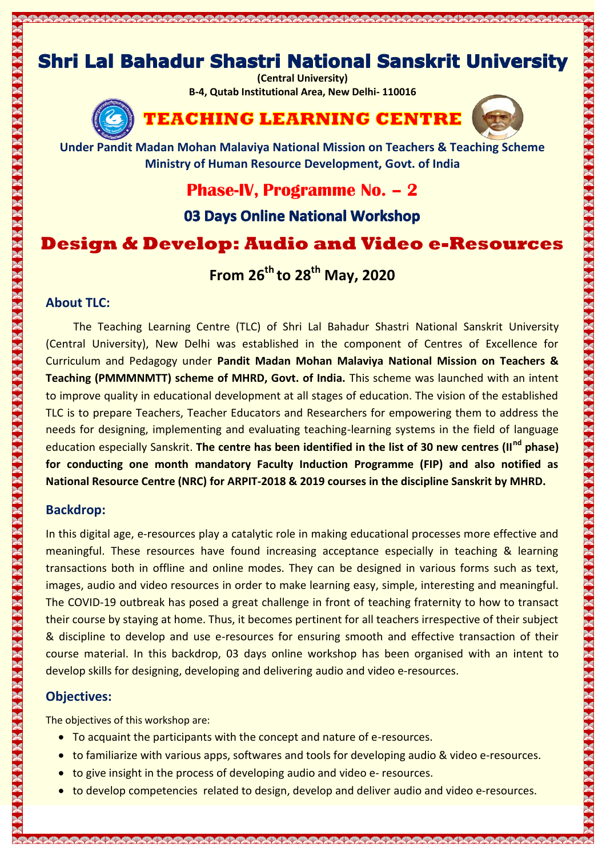# **Shri Lal Bahadur Shastri National Sanskrit University**

MAANAA MAADAA MAANAA MAADAA MAADAA MAADA MAADA MAADA MAADA MAADA MAADA MAADA MAADA MAADA MAADA MAADA MAADA MAA

**(Central University) B-4, Qutab Institutional Area, New Delhi- 110016**



**TEACHING LEARNING CENTRE** 



**Under Pandit Madan Mohan Malaviya National Mission on Teachers & Teaching Scheme Ministry of Human Resource Development, Govt. of India**

**Phase-IV, Programme No. – 2**

03 Days Online National Workshop

# **Design & Develop: Audio and Video e-Resources**

**From 26th to 28th May, 2020**

#### **About TLC:**

The Teaching Learning Centre (TLC) of Shri Lal Bahadur Shastri National Sanskrit University (Central University), New Delhi was established in the component of Centres of Excellence for Curriculum and Pedagogy under **Pandit Madan Mohan Malaviya National Mission on Teachers & Teaching (PMMMNMTT) scheme of MHRD, Govt. of India.** This scheme was launched with an intent to improve quality in educational development at all stages of education. The vision of the established TLC is to prepare Teachers, Teacher Educators and Researchers for empowering them to address the needs for designing, implementing and evaluating teaching-learning systems in the field of language education especially Sanskrit. **The centre has been identified in the list of 30 new centres (IInd phase) for conducting one month mandatory Faculty Induction Programme (FIP) and also notified as National Resource Centre (NRC) for ARPIT-2018 & 2019 courses in the discipline Sanskrit by MHRD.**

#### **Backdrop:**

In this digital age, e-resources play a catalytic role in making educational processes more effective and meaningful. These resources have found increasing acceptance especially in teaching & learning transactions both in offline and online modes. They can be designed in various forms such as text, images, audio and video resources in order to make learning easy, simple, interesting and meaningful. The COVID-19 outbreak has posed a great challenge in front of teaching fraternity to how to transact their course by staying at home. Thus, it becomes pertinent for all teachers irrespective of their subject & discipline to develop and use e-resources for ensuring smooth and effective transaction of their course material. In this backdrop, 03 days online workshop has been organised with an intent to develop skills for designing, developing and delivering audio and video e-resources.

#### **Objectives:**

The objectives of this workshop are:

- To acquaint the participants with the concept and nature of e-resources.
- to familiarize with various apps, softwares and tools for developing audio & video e-resources.
- to give insight in the process of developing audio and video e- resources.
- to develop competencies related to design, develop and deliver audio and video e-resources.